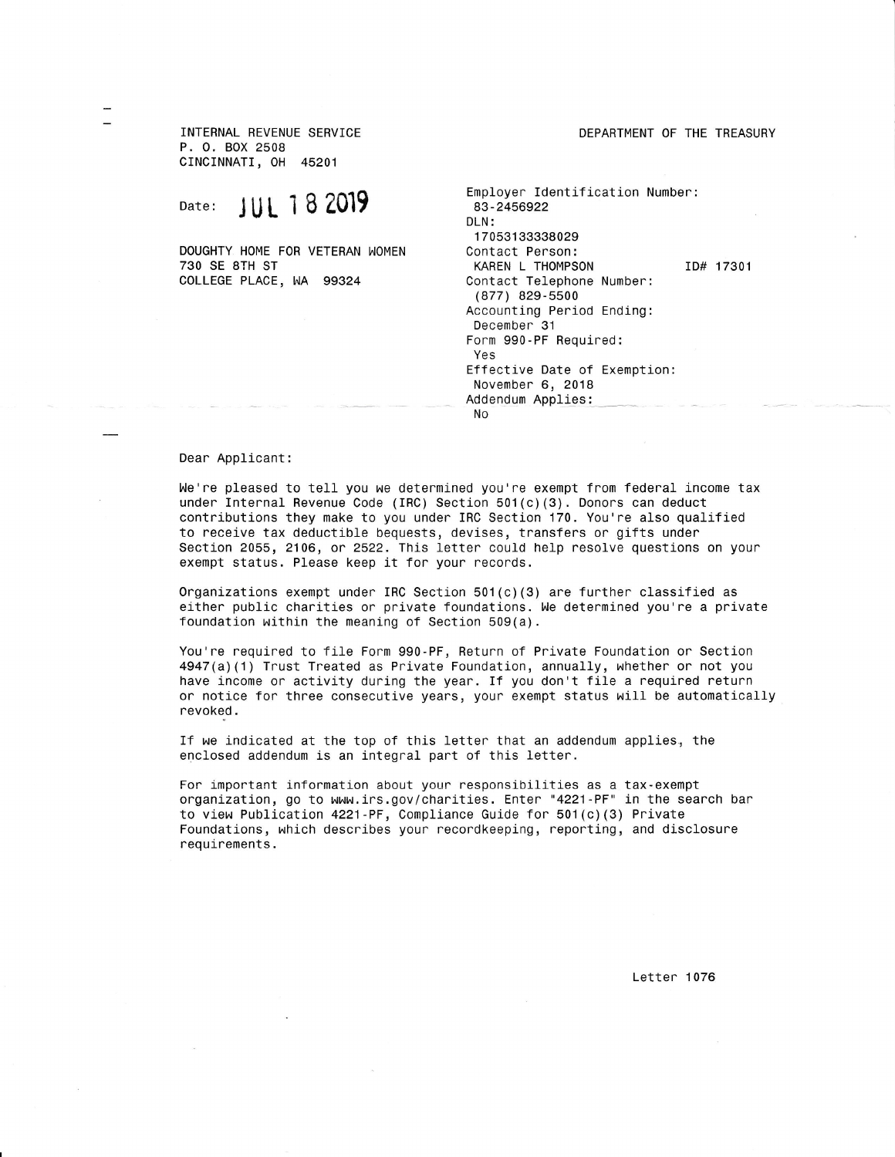INTERNAL REVENUE SERVICE P. 0. BOX 2508 cINCINNATI, 0H <sup>45201</sup>

Date: JUL 18 2019

730 SE 8TH ST COLLEGE PLACE, WA 99324 DOUGHTY HOME FOR VETERAN WOMEN DEPARTMENT OF THE TREASURY

Employer Identification Number: 83-2456922 DLN: 1705313338029<br>Contact Person: KAREN L THOMPSON ID# 17301 Contact Telephone Numben: (877) 829-5500 Accounting Period Ending: December 31 Fonm 990-PF Requined: Yes Effective Date of Exemption: November 6, <sup>2018</sup> Addendum Applies: No

## Dear Applicant:

We're pleased to tell you we determined you're exempt from federal income tax under Internal Revenue Code (IRC) Section 501(c)(3). Donors can deduct contributions they make to you unden IRC Section'170. You'ne also qualified to receive tax deductible bequests, devises, tnansfers or gifts under Section 2055, 2106, or 2522. This letter could help resolve questions on your exempt status. Please keep it for your records.

Organizations exempt under IRC Section  $501(c)(3)$  are further classified as either public charities or private foundations. We determined you're a private foundation within the meaning of Section  $509(a)$ .

You're required to file Form 990-PF, Return of Private Foundation or Section 4947(a)(1) Trust Treated as Private Foundation, annually, whether or not you have income or activity during the year. If you don't file a required return or notice for three consecutive years, your exempt status will be automatically revoked.

If we indicated at the top of this letten that an addendum applies, the enclosed addendum is an integral part of this letter.

For important information about your responsibilities as a tax-exempt organization, go to www.irs.gov/charities. Enter "4221 -PF" in the search bar to view Publication 4221 -PF, Compliance Guide for 501(c) (3) Private Foundations, which describes your recondkeeplng, neponting, and disclosune requlrements.

Letter 1076